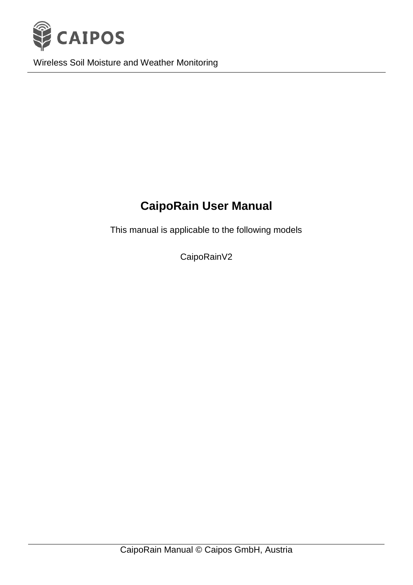

Wireless Soil Moisture and Weather Monitoring

# **CaipoRain User Manual**

This manual is applicable to the following models

CaipoRainV2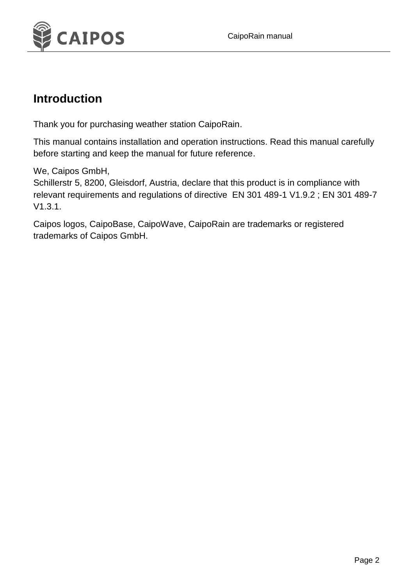

#### **Introduction**

Thank you for purchasing weather station CaipoRain.

This manual contains installation and operation instructions. Read this manual carefully before starting and keep the manual for future reference.

We, Caipos GmbH,

Schillerstr 5, 8200, Gleisdorf, Austria, declare that this product is in compliance with relevant requirements and regulations of directive EN 301 489-1 V1.9.2 ; EN 301 489-7 V1.3.1.

Caipos logos, CaipoBase, CaipoWave, CaipoRain are trademarks or registered trademarks of Caipos GmbH.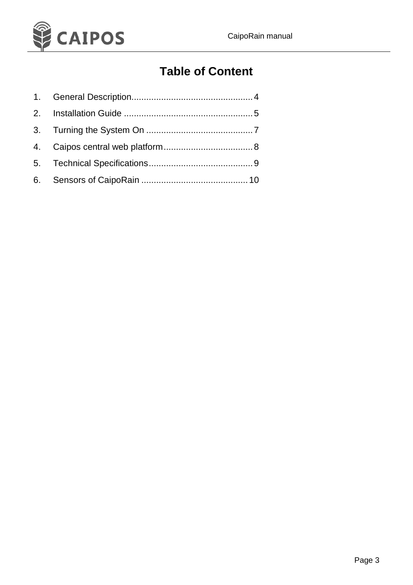

### **Table of Content**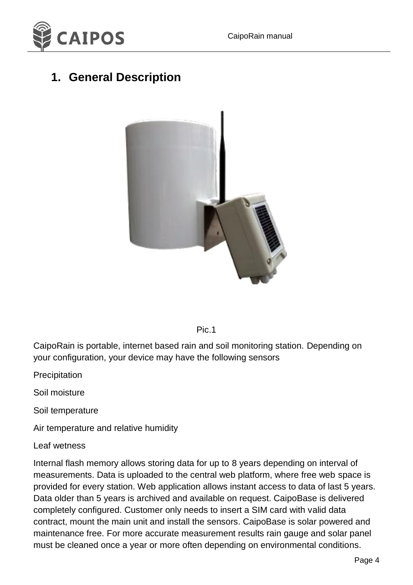

### **1. General Description**





CaipoRain is portable, internet based rain and soil monitoring station. Depending on your configuration, your device may have the following sensors

Precipitation

Soil moisture

Soil temperature

Air temperature and relative humidity

#### Leaf wetness

Internal flash memory allows storing data for up to 8 years depending on interval of measurements. Data is uploaded to the central web platform, where free web space is provided for every station. Web application allows instant access to data of last 5 years. Data older than 5 years is archived and available on request. CaipoBase is delivered completely configured. Customer only needs to insert a SIM card with valid data contract, mount the main unit and install the sensors. CaipoBase is solar powered and maintenance free. For more accurate measurement results rain gauge and solar panel must be cleaned once a year or more often depending on environmental conditions.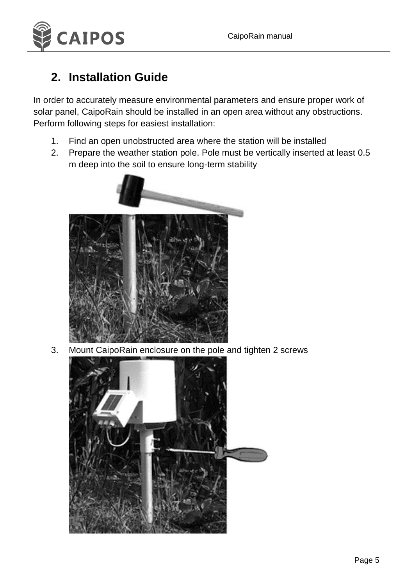

#### **2. Installation Guide**

In order to accurately measure environmental parameters and ensure proper work of solar panel, CaipoRain should be installed in an open area without any obstructions. Perform following steps for easiest installation:

- 1. Find an open unobstructed area where the station will be installed
- 2. Prepare the weather station pole. Pole must be vertically inserted at least 0.5 m deep into the soil to ensure long-term stability



3. Mount CaipoRain enclosure on the pole and tighten 2 screws

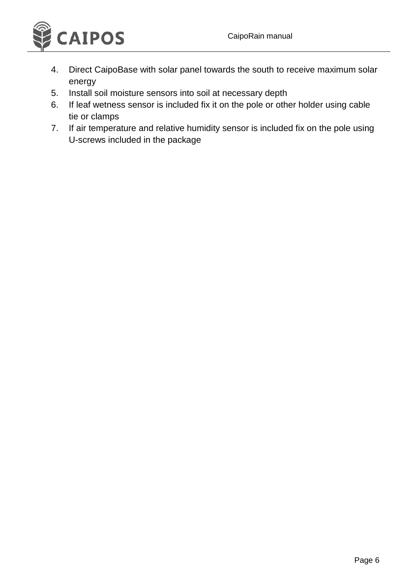

- 4. Direct CaipoBase with solar panel towards the south to receive maximum solar energy
- 5. Install soil moisture sensors into soil at necessary depth
- 6. If leaf wetness sensor is included fix it on the pole or other holder using cable tie or clamps
- 7. If air temperature and relative humidity sensor is included fix on the pole using U-screws included in the package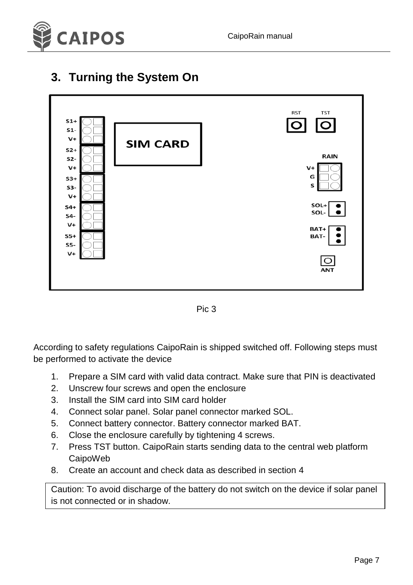

#### **3. Turning the System On**



Pic 3

According to safety regulations CaipoRain is shipped switched off. Following steps must be performed to activate the device

- 1. Prepare a SIM card with valid data contract. Make sure that PIN is deactivated
- 2. Unscrew four screws and open the enclosure
- 3. Install the SIM card into SIM card holder
- 4. Connect solar panel. Solar panel connector marked SOL.
- 5. Connect battery connector. Battery connector marked BAT.
- 6. Close the enclosure carefully by tightening 4 screws.
- 7. Press TST button. CaipoRain starts sending data to the central web platform CaipoWeb
- 8. Create an account and check data as described in section 4

Caution: To avoid discharge of the battery do not switch on the device if solar panel is not connected or in shadow.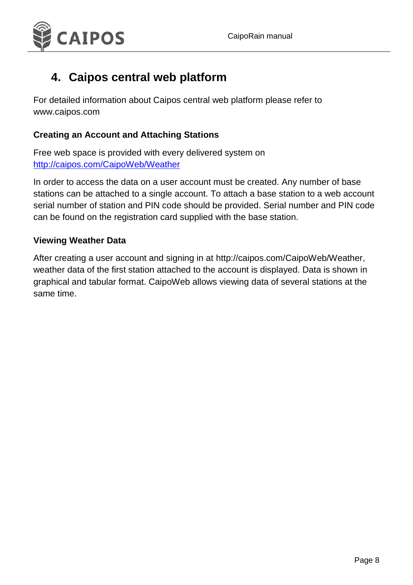

### **4. Caipos central web platform**

For detailed information about Caipos central web platform please refer to www.caipos.com

#### **Creating an Account and Attaching Stations**

Free web space is provided with every delivered system on <http://caipos.com/CaipoWeb/Weather>

In order to access the data on a user account must be created. Any number of base stations can be attached to a single account. To attach a base station to a web account serial number of station and PIN code should be provided. Serial number and PIN code can be found on the registration card supplied with the base station.

#### **Viewing Weather Data**

After creating a user account and signing in at [http://caipos.com/CaipoWeb/Weather,](http://caipos.com/CaipoWeb/Weather/index) weather data of the first station attached to the account is displayed. Data is shown in graphical and tabular format. CaipoWeb allows viewing data of several stations at the same time.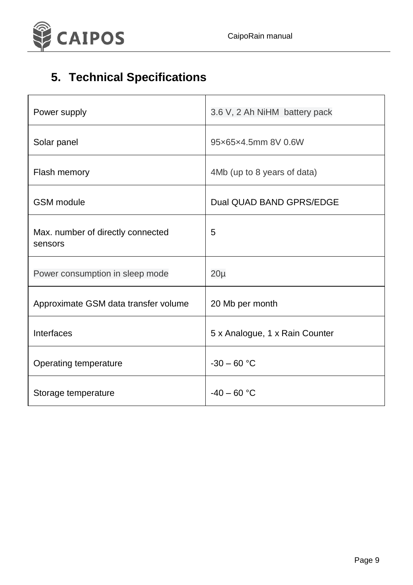



# **5. Technical Specifications**

| Power supply                                 | 3.6 V, 2 Ah NiHM battery pack  |
|----------------------------------------------|--------------------------------|
| Solar panel                                  | 95x65x4.5mm 8V 0.6W            |
| Flash memory                                 | 4Mb (up to 8 years of data)    |
| <b>GSM</b> module                            | Dual QUAD BAND GPRS/EDGE       |
| Max. number of directly connected<br>sensors | 5                              |
| Power consumption in sleep mode              | $20\mu$                        |
| Approximate GSM data transfer volume         | 20 Mb per month                |
| Interfaces                                   | 5 x Analogue, 1 x Rain Counter |
| Operating temperature                        | $-30 - 60$ °C                  |
| Storage temperature                          | $-40 - 60$ °C                  |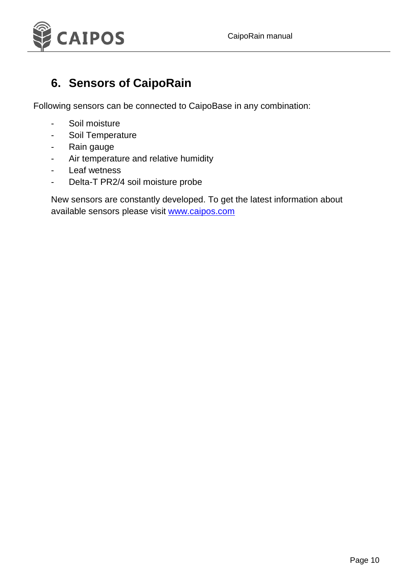

### **6. Sensors of CaipoRain**

Following sensors can be connected to CaipoBase in any combination:

- Soil moisture
- Soil Temperature
- Rain gauge
- Air temperature and relative humidity
- Leaf wetness
- Delta-T PR2/4 soil moisture probe

New sensors are constantly developed. To get the latest information about available sensors please visit [www.caipos.com](http://www.caipos.com/)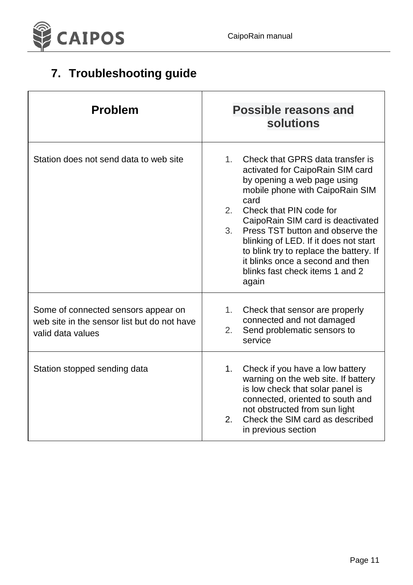

# **7. Troubleshooting guide**

| <b>Problem</b>                                                                                          | <b>Possible reasons and</b><br>solutions                                                                                                                                                                                                                                                                                                                                                                                                               |
|---------------------------------------------------------------------------------------------------------|--------------------------------------------------------------------------------------------------------------------------------------------------------------------------------------------------------------------------------------------------------------------------------------------------------------------------------------------------------------------------------------------------------------------------------------------------------|
| Station does not send data to web site                                                                  | Check that GPRS data transfer is<br>$1_{-}$<br>activated for CaipoRain SIM card<br>by opening a web page using<br>mobile phone with CaipoRain SIM<br>card<br>Check that PIN code for<br>$2^{\circ}$<br>CaipoRain SIM card is deactivated<br>3.<br>Press TST button and observe the<br>blinking of LED. If it does not start<br>to blink try to replace the battery. If<br>it blinks once a second and then<br>blinks fast check items 1 and 2<br>again |
| Some of connected sensors appear on<br>web site in the sensor list but do not have<br>valid data values | 1.<br>Check that sensor are properly<br>connected and not damaged<br>Send problematic sensors to<br>2.<br>service                                                                                                                                                                                                                                                                                                                                      |
| Station stopped sending data                                                                            | Check if you have a low battery<br>1.<br>warning on the web site. If battery<br>is low check that solar panel is<br>connected, oriented to south and<br>not obstructed from sun light<br>Check the SIM card as described<br>2.<br>in previous section                                                                                                                                                                                                  |